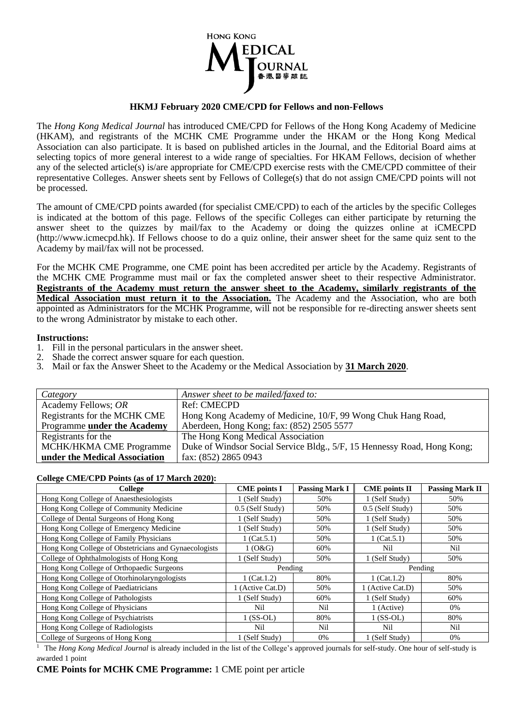

## **HKMJ February 2020 CME/CPD for Fellows and non-Fellows**

The *Hong Kong Medical Journal* has introduced CME/CPD for Fellows of the Hong Kong Academy of Medicine (HKAM), and registrants of the MCHK CME Programme under the HKAM or the Hong Kong Medical Association can also participate. It is based on published articles in the Journal, and the Editorial Board aims at selecting topics of more general interest to a wide range of specialties. For HKAM Fellows, decision of whether any of the selected article(s) is/are appropriate for CME/CPD exercise rests with the CME/CPD committee of their representative Colleges. Answer sheets sent by Fellows of College(s) that do not assign CME/CPD points will not be processed.

The amount of CME/CPD points awarded (for specialist CME/CPD) to each of the articles by the specific Colleges is indicated at the bottom of this page. Fellows of the specific Colleges can either participate by returning the answer sheet to the quizzes by mail/fax to the Academy or doing the quizzes online at iCMECPD (http://www.icmecpd.hk). If Fellows choose to do a quiz online, their answer sheet for the same quiz sent to the Academy by mail/fax will not be processed.

For the MCHK CME Programme, one CME point has been accredited per article by the Academy. Registrants of the MCHK CME Programme must mail or fax the completed answer sheet to their respective Administrator. **Registrants of the Academy must return the answer sheet to the Academy, similarly registrants of the Medical Association must return it to the Association.** The Academy and the Association, who are both appointed as Administrators for the MCHK Programme, will not be responsible for re-directing answer sheets sent to the wrong Administrator by mistake to each other.

## **Instructions:**

- 1. Fill in the personal particulars in the answer sheet.
- 2. Shade the correct answer square for each question.
- 3. Mail or fax the Answer Sheet to the Academy or the Medical Association by **31 March 2020**.

| Category                      | Answer sheet to be mailed/faxed to:                                     |
|-------------------------------|-------------------------------------------------------------------------|
| Academy Fellows; OR           | Ref: CMECPD                                                             |
| Registrants for the MCHK CME  | Hong Kong Academy of Medicine, 10/F, 99 Wong Chuk Hang Road,            |
| Programme under the Academy   | Aberdeen, Hong Kong; fax: (852) 2505 5577                               |
| Registrants for the           | The Hong Kong Medical Association                                       |
| MCHK/HKMA CME Programme       | Duke of Windsor Social Service Bldg., 5/F, 15 Hennessy Road, Hong Kong; |
| under the Medical Association | fax: (852) 2865 0943                                                    |

## **College CME/CPD Points (as of 17 March 2020):**

| College                                               | <b>CME</b> points I | <b>Passing Mark I</b> | <b>CME</b> points II | <b>Passing Mark II</b> |
|-------------------------------------------------------|---------------------|-----------------------|----------------------|------------------------|
| Hong Kong College of Anaesthesiologists               | 1 (Self Study)      | 50%                   | 1 (Self Study)       | 50%                    |
| Hong Kong College of Community Medicine               | 0.5 (Self Study)    | 50%                   | 0.5 (Self Study)     | 50%                    |
| College of Dental Surgeons of Hong Kong               | 1 (Self Study)      | 50%                   | 1 (Self Study)       | 50%                    |
| Hong Kong College of Emergency Medicine               | 1 (Self Study)      | 50%                   | 1 (Self Study)       | 50%                    |
| Hong Kong College of Family Physicians                | 1 (Cat. $5.1$ )     | 50%                   | $1$ (Cat. 5.1)       | 50%                    |
| Hong Kong College of Obstetricians and Gynaecologists | 1(0&G)              | 60%                   | Nil                  | Nil                    |
| College of Ophthalmologists of Hong Kong              | 1 (Self Study)      | 50%                   | 1 (Self Study)       | 50%                    |
| Hong Kong College of Orthopaedic Surgeons             | Pending             |                       | Pending              |                        |
| Hong Kong College of Otorhinolaryngologists           | $1$ (Cat. 1.2)      | 80%                   | $1$ (Cat. 1.2)       | 80%                    |
| Hong Kong College of Paediatricians                   | 1 (Active Cat.D)    | 50%                   | 1 (Active Cat.D)     | 50%                    |
| Hong Kong College of Pathologists                     | 1 (Self Study)      | 60%                   | 1 (Self Study)       | 60%                    |
| Hong Kong College of Physicians                       | Nil                 | Nil                   | 1 (Active)           | 0%                     |
| Hong Kong College of Psychiatrists                    | $1$ (SS-OL)         | 80%                   | $1$ (SS-OL)          | 80%                    |
| Hong Kong College of Radiologists                     | Nil                 | Nil                   | Nil                  | Nil                    |
| College of Surgeons of Hong Kong                      | 1 (Self Study)      | 0%                    | 1 (Self Study)       | 0%                     |

<sup>1</sup> The *Hong Kong Medical Journal* is already included in the list of the College's approved journals for self-study. One hour of self-study is awarded 1 point

## **CME Points for MCHK CME Programme:** 1 CME point per article